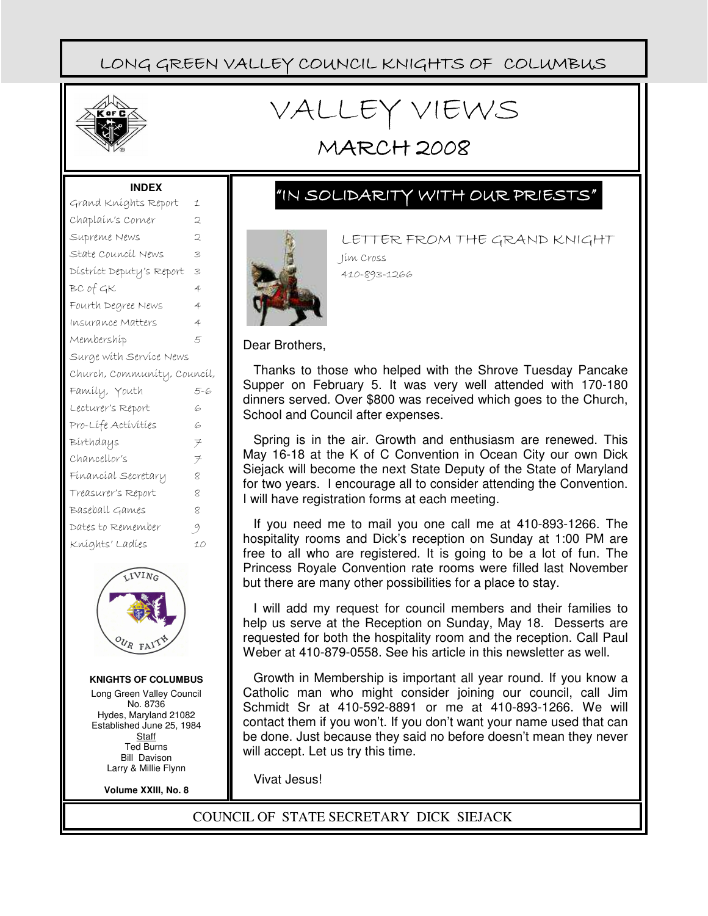

# VALLEY VIEWS

## MARCH 2008

#### **INDEX**

| Grand Kníghts Report        | 1                   |  |  |  |
|-----------------------------|---------------------|--|--|--|
| Chaplaín's Corner           | 2                   |  |  |  |
| Supreme News                | 2                   |  |  |  |
| State Council News          | 3                   |  |  |  |
| District Deputy's Report    | 3                   |  |  |  |
| BC of GK                    | 4                   |  |  |  |
| Fourth Degree News          | 4                   |  |  |  |
| Insurance Matters           | 4                   |  |  |  |
| Membershíp                  | 5                   |  |  |  |
| Surge with Service News     |                     |  |  |  |
| Church, Community, Council, |                     |  |  |  |
|                             |                     |  |  |  |
| Famíly, Youth               | 5-6                 |  |  |  |
| Lecturer's Report           | G                   |  |  |  |
| Pro-Lífe Activities         | G                   |  |  |  |
| Bírthdays                   | $\neq$              |  |  |  |
| Chancellor's                | $\neq$              |  |  |  |
| Fínancíal Secretary         | $\mathcal{R}$       |  |  |  |
| Treasurer's Report          | 8                   |  |  |  |
| Baseball Games              | $\bar{\mathcal{R}}$ |  |  |  |
| Dates to Remember           | -9                  |  |  |  |
| Kníghts' Ladíes             | 10                  |  |  |  |



#### **KNIGHTS OF COLUMBUS**

Long Green Valley Council No. 8736 Hydes, Maryland 21082 Established June 25, 1984 **Staff** Ted Burns Bill Davison Larry & Millie Flynn

**Volume XXIII, No. 8**

### "IN SOLIDARITY WITH OUR PRIESTS"



LETTER FROM THE GRAND KNIGHT Jim Cross 410-893-1266

Dear Brothers,

Thanks to those who helped with the Shrove Tuesday Pancake Supper on February 5. It was very well attended with 170-180 dinners served. Over \$800 was received which goes to the Church, School and Council after expenses.

Spring is in the air. Growth and enthusiasm are renewed. This May 16-18 at the K of C Convention in Ocean City our own Dick Siejack will become the next State Deputy of the State of Maryland for two years. I encourage all to consider attending the Convention. I will have registration forms at each meeting.

If you need me to mail you one call me at 410-893-1266. The hospitality rooms and Dick's reception on Sunday at 1:00 PM are free to all who are registered. It is going to be a lot of fun. The Princess Royale Convention rate rooms were filled last November but there are many other possibilities for a place to stay.

I will add my request for council members and their families to help us serve at the Reception on Sunday, May 18. Desserts are requested for both the hospitality room and the reception. Call Paul Weber at 410-879-0558. See his article in this newsletter as well.

Growth in Membership is important all year round. If you know a Catholic man who might consider joining our council, call Jim Schmidt Sr at 410-592-8891 or me at 410-893-1266. We will contact them if you won't. If you don't want your name used that can be done. Just because they said no before doesn't mean they never will accept. Let us try this time.

Vivat Jesus!

COUNCIL OF STATE SECRETARY DICK SIEJACK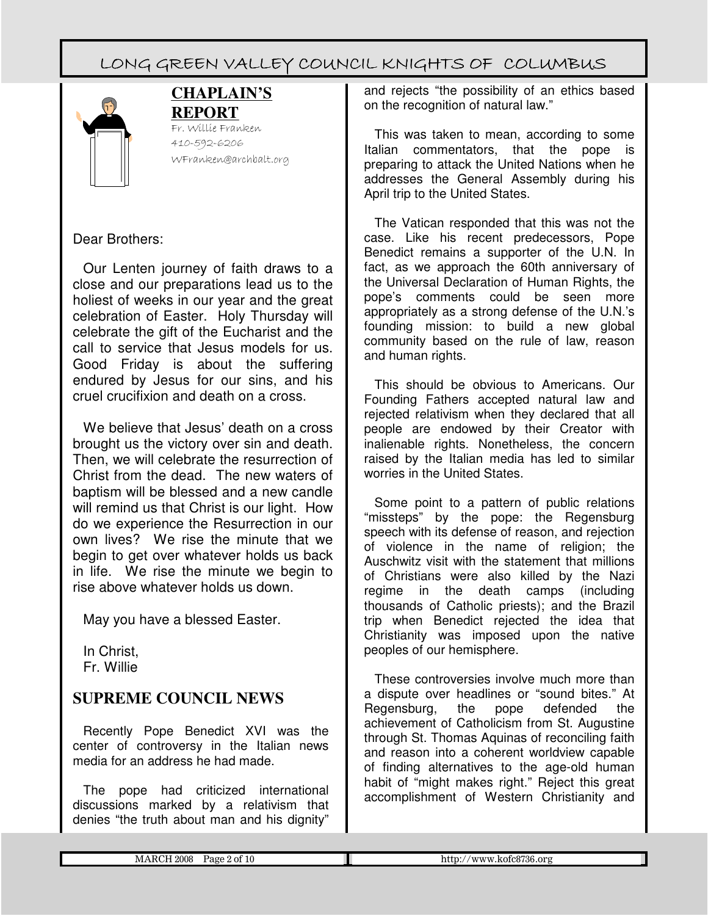

#### **CHAPLAIN'S REPORT**

Fr. Willie Franken 410-592-6206 WFranken@archbalt.org

### Dear Brothers:

Our Lenten journey of faith draws to a close and our preparations lead us to the holiest of weeks in our year and the great celebration of Easter. Holy Thursday will celebrate the gift of the Eucharist and the call to service that Jesus models for us. Good Friday is about the suffering endured by Jesus for our sins, and his cruel crucifixion and death on a cross.

We believe that Jesus' death on a cross brought us the victory over sin and death. Then, we will celebrate the resurrection of Christ from the dead. The new waters of baptism will be blessed and a new candle will remind us that Christ is our light. How do we experience the Resurrection in our own lives? We rise the minute that we begin to get over whatever holds us back in life. We rise the minute we begin to rise above whatever holds us down.

May you have a blessed Easter.

In Christ, Fr. Willie

### **SUPREME COUNCIL NEWS**

Recently Pope Benedict XVI was the center of controversy in the Italian news media for an address he had made.

The pope had criticized international discussions marked by a relativism that denies "the truth about man and his dignity"

and rejects "the possibility of an ethics based on the recognition of natural law."

This was taken to mean, according to some Italian commentators, that the pope is preparing to attack the United Nations when he addresses the General Assembly during his April trip to the United States.

The Vatican responded that this was not the case. Like his recent predecessors, Pope Benedict remains a supporter of the U.N. In fact, as we approach the 60th anniversary of the Universal Declaration of Human Rights, the pope's comments could be seen more appropriately as a strong defense of the U.N.'s founding mission: to build a new global community based on the rule of law, reason and human rights.

This should be obvious to Americans. Our Founding Fathers accepted natural law and rejected relativism when they declared that all people are endowed by their Creator with inalienable rights. Nonetheless, the concern raised by the Italian media has led to similar worries in the United States.

Some point to a pattern of public relations "missteps" by the pope: the Regensburg speech with its defense of reason, and rejection of violence in the name of religion; the Auschwitz visit with the statement that millions of Christians were also killed by the Nazi regime in the death camps (including thousands of Catholic priests); and the Brazil trip when Benedict rejected the idea that Christianity was imposed upon the native peoples of our hemisphere.

These controversies involve much more than a dispute over headlines or "sound bites." At Regensburg, the pope defended the achievement of Catholicism from St. Augustine through St. Thomas Aquinas of reconciling faith and reason into a coherent worldview capable of finding alternatives to the age-old human habit of "might makes right." Reject this great accomplishment of Western Christianity and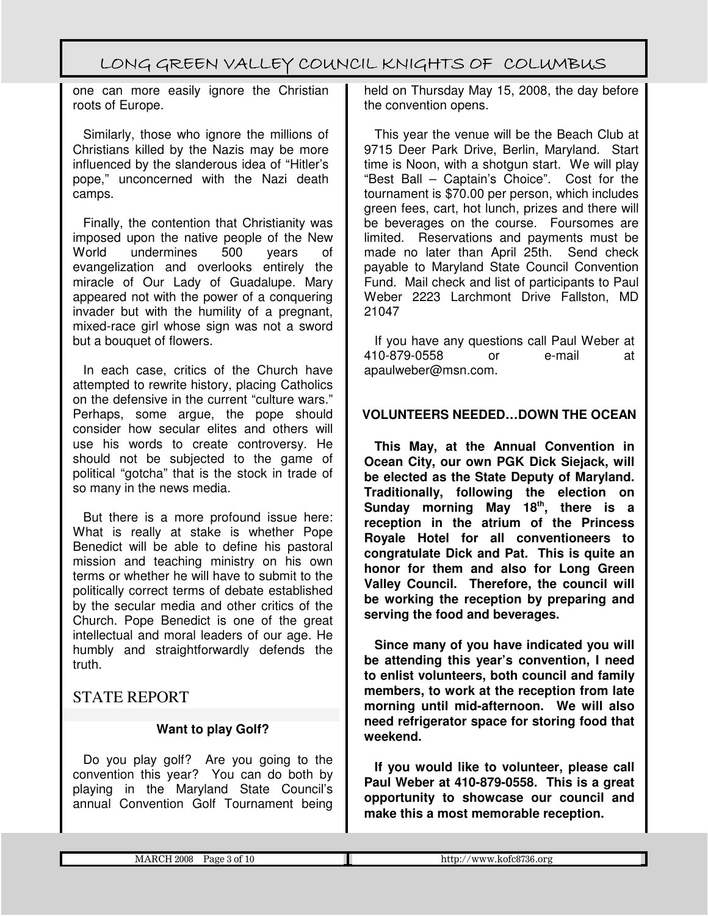one can more easily ignore the Christian roots of Europe.

Similarly, those who ignore the millions of Christians killed by the Nazis may be more influenced by the slanderous idea of "Hitler's pope," unconcerned with the Nazi death camps.

Finally, the contention that Christianity was imposed upon the native people of the New World undermines 500 years of evangelization and overlooks entirely the miracle of Our Lady of Guadalupe. Mary appeared not with the power of a conquering invader but with the humility of a pregnant, mixed-race girl whose sign was not a sword but a bouquet of flowers.

In each case, critics of the Church have attempted to rewrite history, placing Catholics on the defensive in the current "culture wars." Perhaps, some argue, the pope should consider how secular elites and others will use his words to create controversy. He should not be subjected to the game of political "gotcha" that is the stock in trade of so many in the news media.

But there is a more profound issue here: What is really at stake is whether Pope Benedict will be able to define his pastoral mission and teaching ministry on his own terms or whether he will have to submit to the politically correct terms of debate established by the secular media and other critics of the Church. Pope Benedict is one of the great intellectual and moral leaders of our age. He humbly and straightforwardly defends the truth.

### STATE REPORT

#### **Want to play Golf?**

Do you play golf? Are you going to the convention this year? You can do both by playing in the Maryland State Council's annual Convention Golf Tournament being

held on Thursday May 15, 2008, the day before the convention opens.

This year the venue will be the Beach Club at 9715 Deer Park Drive, Berlin, Maryland. Start time is Noon, with a shotgun start. We will play "Best Ball – Captain's Choice". Cost for the tournament is \$70.00 per person, which includes green fees, cart, hot lunch, prizes and there will be beverages on the course. Foursomes are limited. Reservations and payments must be made no later than April 25th. Send check payable to Maryland State Council Convention Fund. Mail check and list of participants to Paul Weber 2223 Larchmont Drive Fallston, MD 21047

If you have any questions call Paul Weber at 410-879-0558 or e-mail at apaulweber@msn.com.

#### **VOLUNTEERS NEEDED…DOWN THE OCEAN**

**This May, at the Annual Convention in Ocean City, our own PGK Dick Siejack, will be elected as the State Deputy of Maryland. Traditionally, following the election on Sunday morning May 18th, there is a reception in the atrium of the Princess Royale Hotel for all conventioneers to congratulate Dick and Pat. This is quite an honor for them and also for Long Green Valley Council. Therefore, the council will be working the reception by preparing and serving the food and beverages.**

**Since many of you have indicated you will be attending this year's convention, I need to enlist volunteers, both council and family members, to work at the reception from late morning until mid-afternoon. We will also need refrigerator space for storing food that weekend.**

**If you would like to volunteer, please call Paul Weber at 410-879-0558. This is a great opportunity to showcase our council and make this a most memorable reception.**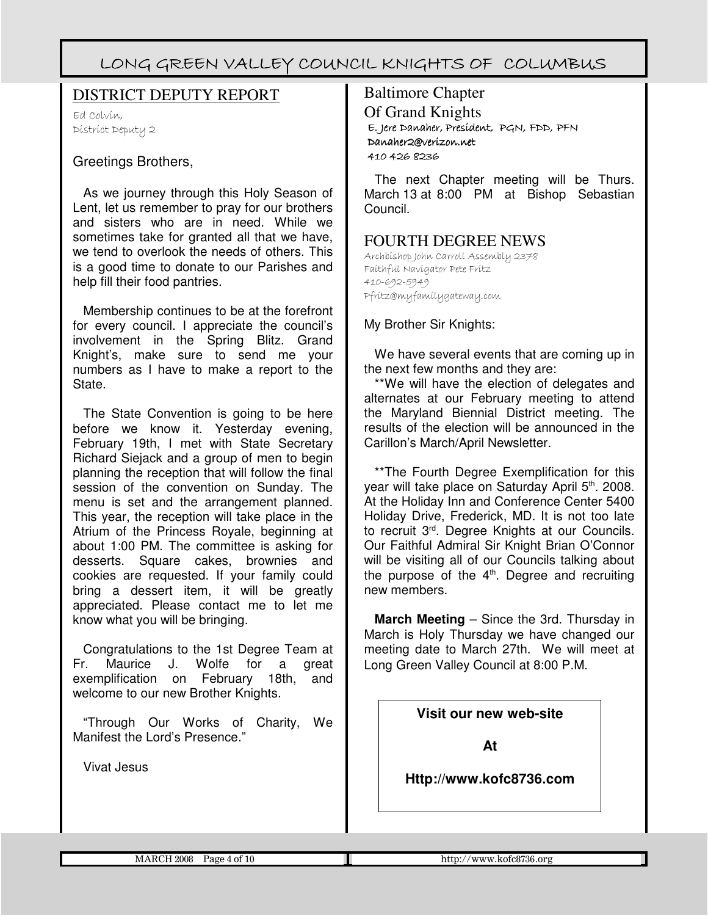#### DISTRICT DEPUTY REPORT

Ed Colvin, District Deputy 2

#### Greetings Brothers,

As we journey through this Holy Season of Lent, let us remember to pray for our brothers and sisters who are in need. While we sometimes take for granted all that we have, we tend to overlook the needs of others. This is a good time to donate to our Parishes and help fill their food pantries.

Membership continues to be at the forefront for every council. I appreciate the council's involvement in the Spring Blitz. Grand Knight's, make sure to send me your numbers as I have to make a report to the State.

The State Convention is going to be here before we know it. Yesterday evening, February 19th, I met with State Secretary Richard Siejack and a group of men to begin planning the reception that will follow the final session of the convention on Sunday. The menu is set and the arrangement planned. This year, the reception will take place in the Atrium of the Princess Royale, beginning at about 1:00 PM. The committee is asking for desserts. Square cakes, brownies and cookies are requested. If your family could bring a dessert item, it will be greatly appreciated. Please contact me to let me know what you will be bringing.

Congratulations to the 1st Degree Team at Fr. Maurice J. Wolfe for a great exemplification on February 18th, and welcome to our new Brother Knights.

"Through Our Works of Charity, We Manifest the Lord's Presence."

Vivat Jesus

### Baltimore Chapter Of Grand Knights E. Jere Jere Danaher, President, President, PGN, FDD, PFN Danaher2@verizon.net 410 426 8236

The next Chapter meeting will be Thurs. March 13 at 8:00 PM at Bishop Sebastian Council.

### FOURTH DEGREE NEWS

Archbishop John Carroll Assembly 2378 Faithful Navigator Pete Fritz 410-692-5949 Pfritz@myfamilygateway.com

My Brother Sir Knights:

We have several events that are coming up in the next few months and they are:

\*\*We will have the election of delegates and alternates at our February meeting to attend the Maryland Biennial District meeting. The results of the election will be announced in the Carillon's March/April Newsletter.

\*\*The Fourth Degree Exemplification for this year will take place on Saturday April 5th. 2008. At the Holiday Inn and Conference Center 5400 Holiday Drive, Frederick, MD. It is not too late to recruit 3rd. Degree Knights at our Councils. Our Faithful Admiral Sir Knight Brian O'Connor will be visiting all of our Councils talking about the purpose of the  $4<sup>th</sup>$ . Degree and recruiting new members.

**March Meeting** – Since the 3rd. Thursday in March is Holy Thursday we have changed our meeting date to March 27th. We will meet at Long Green Valley Council at 8:00 P.M.

**Visit our new web-site**

**At**

**Http://www.kofc8736.com**

MARCH 2008 Page 4 of 10 **http://www.kofc8736.org**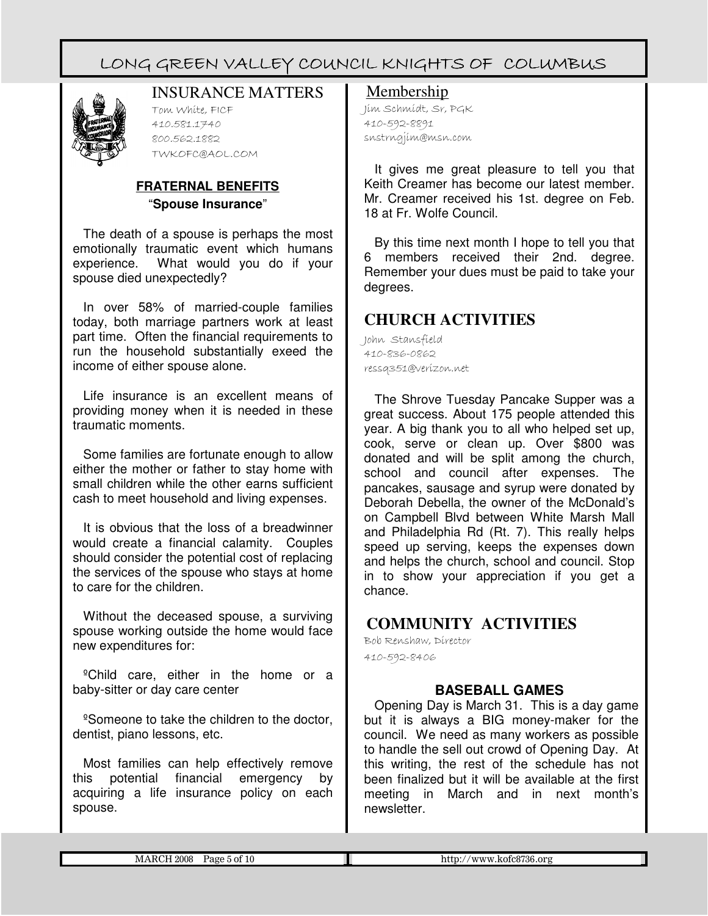

### INSURANCE MATTERS

Tom White, FICF 410.581.1740 800.562.1882 TWKOFC@AOL.COM

#### **FRATERNAL BENEFITS** "**Spouse Insurance**"

The death of a spouse is perhaps the most emotionally traumatic event which humans experience. What would you do if your spouse died unexpectedly?

In over 58% of married-couple families today, both marriage partners work at least part time. Often the financial requirements to run the household substantially exeed the income of either spouse alone.

Life insurance is an excellent means of providing money when it is needed in these traumatic moments.

Some families are fortunate enough to allow either the mother or father to stay home with small children while the other earns sufficient cash to meet household and living expenses.

It is obvious that the loss of a breadwinner would create a financial calamity. Couples should consider the potential cost of replacing the services of the spouse who stays at home to care for the children.

Without the deceased spouse, a surviving spouse working outside the home would face new expenditures for:

<sup>o</sup>Child care, either in the home or a baby-sitter or day care center

<sup>o</sup>Someone to take the children to the doctor, dentist, piano lessons, etc.

Most families can help effectively remove this potential financial emergency by acquiring a life insurance policy on each spouse.

#### Membership

Jim Schmidt, Sr, PGK 410-592-8891 snstrngjim@msn.com

It gives me great pleasure to tell you that Keith Creamer has become our latest member. Mr. Creamer received his 1st. degree on Feb. 18 at Fr. Wolfe Council.

By this time next month I hope to tell you that 6 members received their 2nd. degree. Remember your dues must be paid to take your degrees.

### **CHURCH ACTIVITIES**

John Stansfield 410-836-0862 ressq351@verizon.net

The Shrove Tuesday Pancake Supper was a great success. About 175 people attended this year. A big thank you to all who helped set up, cook, serve or clean up. Over \$800 was donated and will be split among the church, school and council after expenses. The pancakes, sausage and syrup were donated by Deborah Debella, the owner of the McDonald's on Campbell Blvd between White Marsh Mall and Philadelphia Rd (Rt. 7). This really helps speed up serving, keeps the expenses down and helps the church, school and council. Stop in to show your appreciation if you get a chance.

### **COMMUNITY ACTIVITIES**

Bob Renshaw, Director 410-592-8406

#### **BASEBALL GAMES**

Opening Day is March 31. This is a day game but it is always a BIG money-maker for the council. We need as many workers as possible to handle the sell out crowd of Opening Day. At this writing, the rest of the schedule has not been finalized but it will be available at the first meeting in March and in next month's newsletter.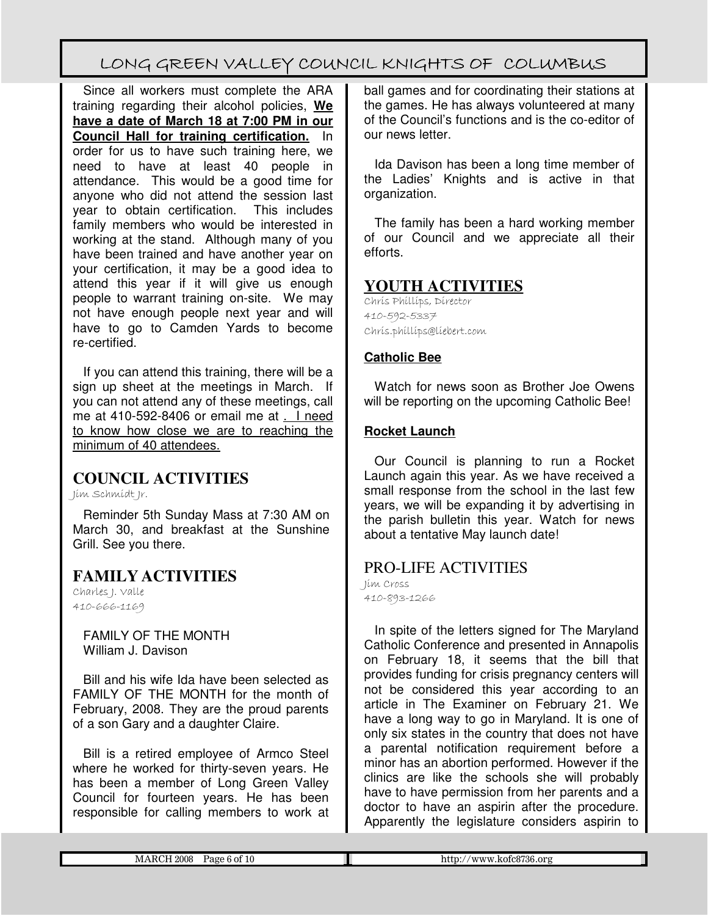Since all workers must complete the ARA training regarding their alcohol policies, **We have a date of March 18 at 7:00 PM in our Council Hall for training certification.** In order for us to have such training here, we need to have at least 40 people in attendance. This would be a good time for anyone who did not attend the session last year to obtain certification. This includes family members who would be interested in working at the stand. Although many of you have been trained and have another year on your certification, it may be a good idea to attend this year if it will give us enough people to warrant training on-site. We may not have enough people next year and will have to go to Camden Yards to become re-certified.

If you can attend this training, there will be a sign up sheet at the meetings in March. If you can not attend any of these meetings, call me at 410-592-8406 or email me at . I need to know how close we are to reaching the minimum of 40 attendees.

### **COUNCIL ACTIVITIES**

Jim Schmidt Jr.

Reminder 5th Sunday Mass at 7:30 AM on March 30, and breakfast at the Sunshine Grill. See you there.

### **FAMILY ACTIVITIES**

Charles J. Valle 410-666-1169

> FAMILY OF THE MONTH William J. Davison

Bill and his wife Ida have been selected as FAMILY OF THE MONTH for the month of February, 2008. They are the proud parents of a son Gary and a daughter Claire.

Bill is a retired employee of Armco Steel where he worked for thirty-seven years. He has been a member of Long Green Valley Council for fourteen years. He has been responsible for calling members to work at

ball games and for coordinating their stations at the games. He has always volunteered at many of the Council's functions and is the co-editor of our news letter.

Ida Davison has been a long time member of the Ladies' Knights and is active in that organization.

The family has been a hard working member of our Council and we appreciate all their efforts.

#### **YOUTH ACTIVITIES**

Chris Phillips, Director 410-592-5337 Chris.phillips@liebert.com

#### **Catholic Bee**

Watch for news soon as Brother Joe Owens will be reporting on the upcoming Catholic Bee!

#### **Rocket Launch**

Our Council is planning to run a Rocket Launch again this year. As we have received a small response from the school in the last few years, we will be expanding it by advertising in the parish bulletin this year. Watch for news about a tentative May launch date!

### PRO-LIFE ACTIVITIES

Jim Cross 410-893-1266

In spite of the letters signed for The Maryland Catholic Conference and presented in Annapolis on February 18, it seems that the bill that provides funding for crisis pregnancy centers will not be considered this year according to an article in The Examiner on February 21. We have a long way to go in Maryland. It is one of only six states in the country that does not have a parental notification requirement before a minor has an abortion performed. However if the clinics are like the schools she will probably have to have permission from her parents and a doctor to have an aspirin after the procedure. Apparently the legislature considers aspirin to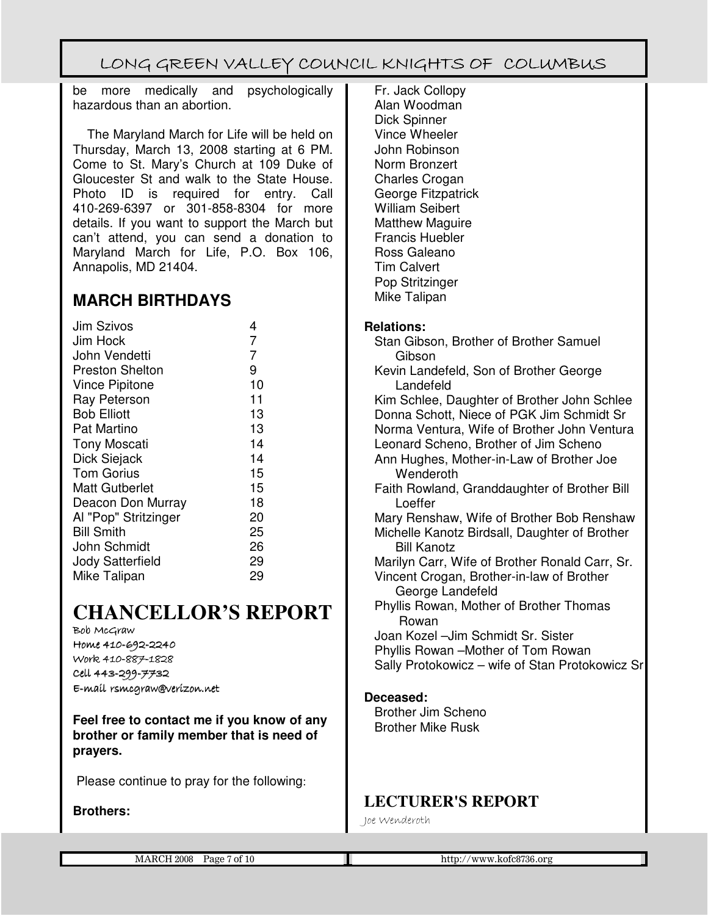be more medically and psychologically hazardous than an abortion.

 The Maryland March for Life will be held on Thursday, March 13, 2008 starting at 6 PM. Come to St. Mary's Church at 109 Duke of Gloucester St and walk to the State House. Photo ID is required for entry. Call 410-269-6397 or 301-858-8304 for more details. If you want to support the March but can't attend, you can send a donation to Maryland March for Life, P.O. Box 106, Annapolis, MD 21404.

### **MARCH BIRTHDAYS**

| <b>Jim Szivos</b>      | 4  |
|------------------------|----|
| Jim Hock               | 7  |
| John Vendetti          | 7  |
| <b>Preston Shelton</b> | 9  |
| <b>Vince Pipitone</b>  | 10 |
| <b>Ray Peterson</b>    | 11 |
| <b>Bob Elliott</b>     | 13 |
| <b>Pat Martino</b>     | 13 |
| <b>Tony Moscati</b>    | 14 |
| Dick Siejack           | 14 |
| <b>Tom Gorius</b>      | 15 |
| <b>Matt Gutberlet</b>  | 15 |
| Deacon Don Murray      | 18 |
| Al "Pop" Stritzinger   | 20 |
| <b>Bill Smith</b>      | 25 |
| John Schmidt           | 26 |
| Jody Satterfield       | 29 |
| Mike Talipan           | 29 |

# **CHANCELLOR'S REPORT**

Bob McGraw Home 410-692-2240 Work 410-887-1828 Cell 443-299-7732 E-mail rsmcgraw@verizon.net E-mail rsmcgraw@verizon.net

**Feel free to contact me if you know of any brother or family member that is need of prayers.** 

Please continue to pray for the following:

#### **Brothers:**

Fr. Jack Collopy Alan Woodman Dick Spinner Vince Wheeler John Robinson Norm Bronzert Charles Crogan George Fitzpatrick William Seibert Matthew Maguire Francis Huebler Ross Galeano Tim Calvert Pop Stritzinger Mike Talipan

#### **Relations:**

Stan Gibson, Brother of Brother Samuel Gibson Kevin Landefeld, Son of Brother George Landefeld Kim Schlee, Daughter of Brother John Schlee Donna Schott, Niece of PGK Jim Schmidt Sr Norma Ventura, Wife of Brother John Ventura Leonard Scheno, Brother of Jim Scheno Ann Hughes, Mother-in-Law of Brother Joe **Wenderoth** Faith Rowland, Granddaughter of Brother Bill Loeffer Mary Renshaw, Wife of Brother Bob Renshaw Michelle Kanotz Birdsall, Daughter of Brother Bill Kanotz Marilyn Carr, Wife of Brother Ronald Carr, Sr. Vincent Crogan, Brother-in-law of Brother George Landefeld Phyllis Rowan, Mother of Brother Thomas Rowan Joan Kozel –Jim Schmidt Sr. Sister Phyllis Rowan –Mother of Tom Rowan Sally Protokowicz – wife of Stan Protokowicz Sr **Deceased:** Brother Jim Scheno Brother Mike Rusk

### **LECTURER'S REPORT**

Joe Wenderoth

|  | 2008<br>' of 10<br>Page<br>M<br>. | .kofc8736.org<br>11111111<br>nttr<br>v w<br>. A M<br>.ш. |
|--|-----------------------------------|----------------------------------------------------------|
|--|-----------------------------------|----------------------------------------------------------|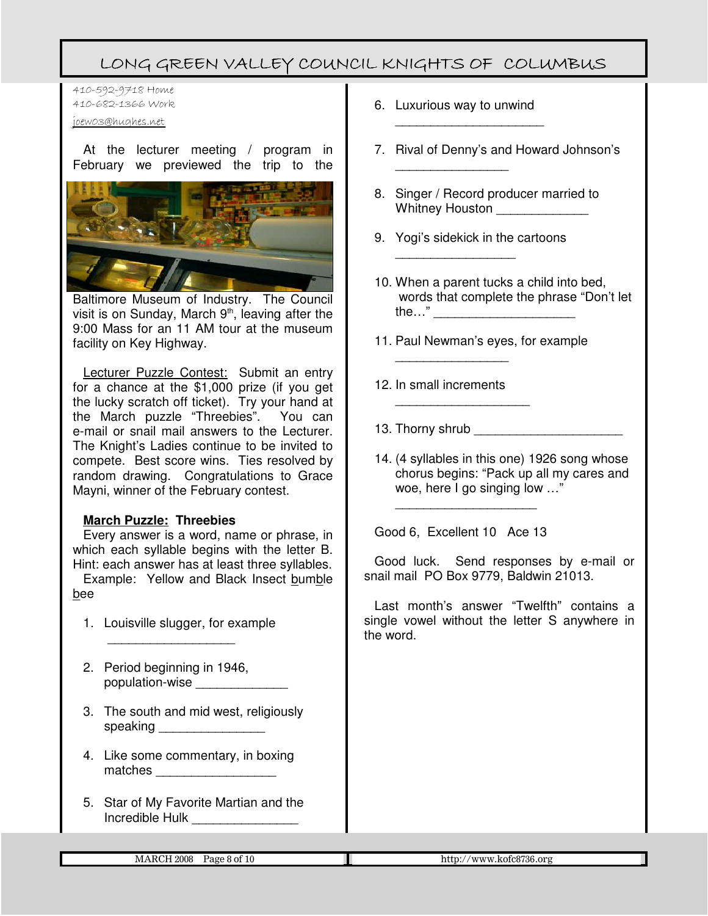410-592-9718 Home 410-682-1366 Work

joew03@hughes.net

At the lecturer meeting / program in February we previewed the trip to the



Baltimore Museum of Industry. The Council visit is on Sunday, March 9<sup>th</sup>, leaving after the 9:00 Mass for an 11 AM tour at the museum facility on Key Highway.

Lecturer Puzzle Contest: Submit an entry for a chance at the \$1,000 prize (if you get the lucky scratch off ticket). Try your hand at the March puzzle "Threebies". You can e-mail or snail mail answers to the Lecturer. The Knight's Ladies continue to be invited to compete. Best score wins. Ties resolved by random drawing. Congratulations to Grace Mayni, winner of the February contest.

#### **March Puzzle: Threebies**

Every answer is a word, name or phrase, in which each syllable begins with the letter B. Hint: each answer has at least three syllables.

Example: Yellow and Black Insect bumble bee

- 1. Louisville slugger, for example
- 2. Period beginning in 1946, population-wise

 $\frac{1}{2}$ 

- 3. The south and mid west, religiously speaking **with a structure of the structure of the structure of the structure of the structure of the structure**
- 4. Like some commentary, in boxing matches **and the set of the set of the set of the set of the set of the set of the set of the set of the set of the set of the set of the set of the set of the set of the set of the set of the set of the set of the set of**
- 5. Star of My Favorite Martian and the Incredible Hulk \_\_\_\_\_\_\_\_\_\_\_\_\_\_\_

6. Luxurious way to unwind

\_\_\_\_\_\_\_\_\_\_\_\_\_\_\_\_

\_\_\_\_\_\_\_\_\_\_\_\_\_\_\_\_\_\_\_\_\_

- 7. Rival of Denny's and Howard Johnson's
- 8. Singer / Record producer married to Whitney Houston **Whitney**
- 9. Yogi's sidekick in the cartoons

\_\_\_\_\_\_\_\_\_\_\_\_\_\_\_\_\_

- 10. When a parent tucks a child into bed, words that complete the phrase "Don't let the…" \_\_\_\_\_\_\_\_\_\_\_\_\_\_\_\_\_\_\_\_
- 11. Paul Newman's eyes, for example
- 12. In small increments

\_\_\_\_\_\_\_\_\_\_\_\_\_\_\_\_

\_\_\_\_\_\_\_\_\_\_\_\_\_\_\_\_\_\_\_

- 13. Thorny shrub
- 14. (4 syllables in this one) 1926 song whose chorus begins: "Pack up all my cares and woe, here I go singing low …"

Good 6, Excellent 10 Ace 13

\_\_\_\_\_\_\_\_\_\_\_\_\_\_\_\_\_\_\_\_

Good luck. Send responses by e-mail or snail mail PO Box 9779, Baldwin 21013.

Last month's answer "Twelfth" contains a single vowel without the letter S anywhere in the word.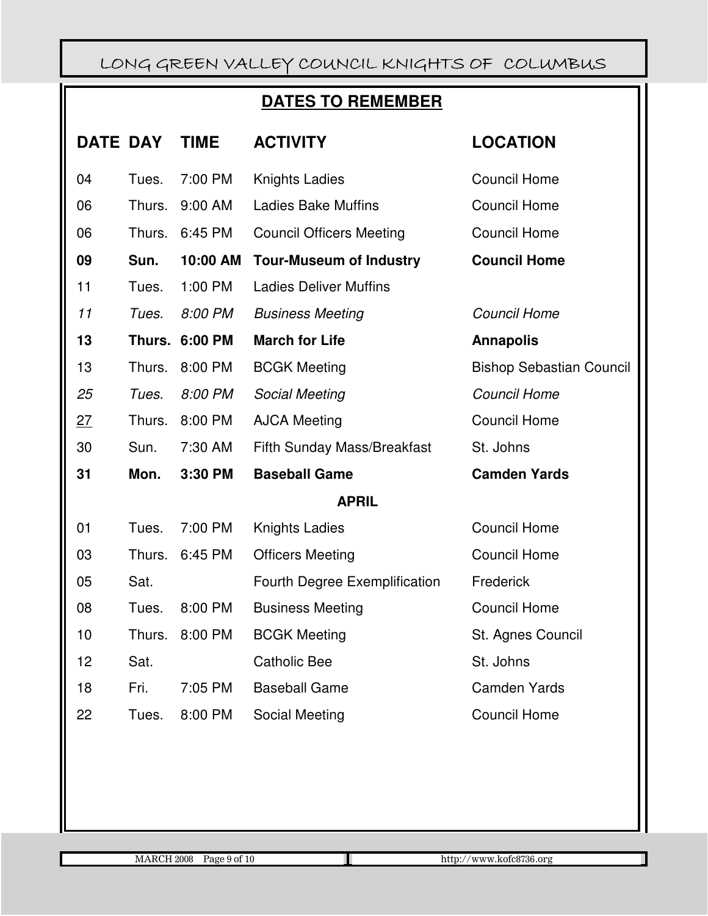### **DATES TO REMEMBER**

| <b>DATE DAY</b> |        | <b>TIME</b>           | <b>ACTIVITY</b>                    | <b>LOCATION</b>                 |  |
|-----------------|--------|-----------------------|------------------------------------|---------------------------------|--|
| 04              | Tues.  | 7:00 PM               | <b>Knights Ladies</b>              | <b>Council Home</b>             |  |
| 06              | Thurs. | 9:00 AM               | <b>Ladies Bake Muffins</b>         | <b>Council Home</b>             |  |
| 06              | Thurs. | 6:45 PM               | <b>Council Officers Meeting</b>    | <b>Council Home</b>             |  |
| 09              | Sun.   | 10:00 AM              | <b>Tour-Museum of Industry</b>     | <b>Council Home</b>             |  |
| 11              | Tues.  | 1:00 PM               | <b>Ladies Deliver Muffins</b>      |                                 |  |
| 11              | Tues.  | 8:00 PM               | <b>Business Meeting</b>            | <b>Council Home</b>             |  |
| 13              |        | <b>Thurs. 6:00 PM</b> | <b>March for Life</b>              | <b>Annapolis</b>                |  |
| 13              | Thurs. | 8:00 PM               | <b>BCGK Meeting</b>                | <b>Bishop Sebastian Council</b> |  |
| 25              | Tues.  | 8:00 PM               | Social Meeting                     | <b>Council Home</b>             |  |
| 27              | Thurs. | 8:00 PM               | <b>AJCA Meeting</b>                | <b>Council Home</b>             |  |
| 30              | Sun.   | 7:30 AM               | <b>Fifth Sunday Mass/Breakfast</b> | St. Johns                       |  |
| 31              | Mon.   | 3:30 PM               | <b>Baseball Game</b>               | <b>Camden Yards</b>             |  |
| <b>APRIL</b>    |        |                       |                                    |                                 |  |
| 01              | Tues.  | 7:00 PM               | <b>Knights Ladies</b>              | <b>Council Home</b>             |  |
| 03              | Thurs. | 6:45 PM               | <b>Officers Meeting</b>            | <b>Council Home</b>             |  |
| 05              | Sat.   |                       | Fourth Degree Exemplification      | Frederick                       |  |
| 08              | Tues.  | 8:00 PM               | <b>Business Meeting</b>            | <b>Council Home</b>             |  |
| 10              | Thurs. | 8:00 PM               | <b>BCGK Meeting</b>                | St. Agnes Council               |  |
| 12              | Sat.   |                       | <b>Catholic Bee</b>                | St. Johns                       |  |
| 18              | Fri.   | 7:05 PM               | <b>Baseball Game</b>               | <b>Camden Yards</b>             |  |
| 22              | Tues.  | 8:00 PM               | Social Meeting                     | <b>Council Home</b>             |  |